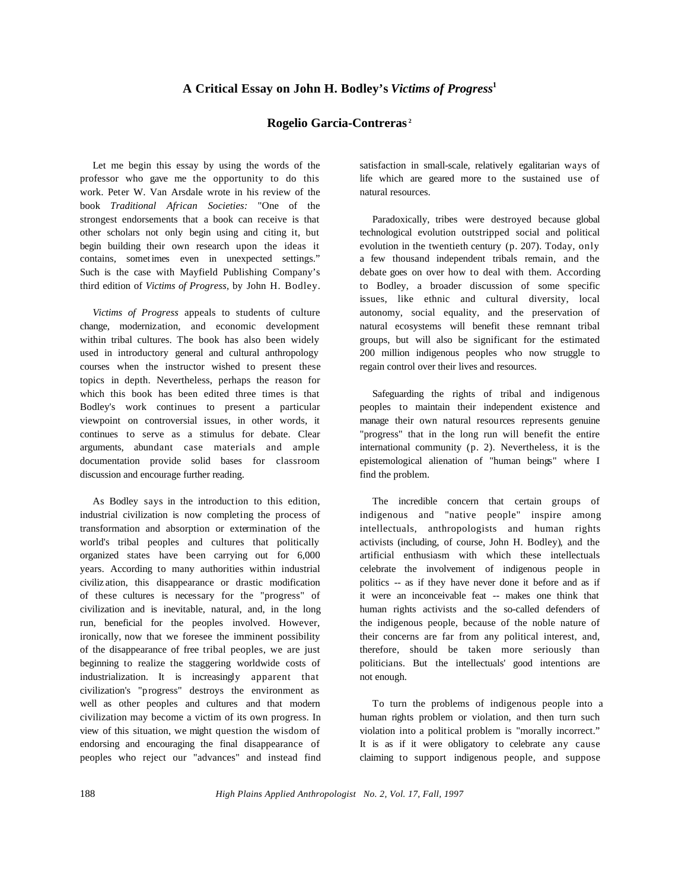## **Rogelio Garcia-Contreras <sup>2</sup>**

Let me begin this essay by using the words of the professor who gave me the opportunity to do this work. Peter W. Van Arsdale wrote in his review of the book *Traditional African Societies:* "One of the strongest endorsements that a book can receive is that other scholars not only begin using and citing it, but begin building their own research upon the ideas it contains, sometimes even in unexpected settings." Such is the case with Mayfield Publishing Company's third edition of *Victims of Progress,* by John H. Bodley.

*Victims of Progress* appeals to students of culture change, modernization, and economic development within tribal cultures. The book has also been widely used in introductory general and cultural anthropology courses when the instructor wished to present these topics in depth. Nevertheless, perhaps the reason for which this book has been edited three times is that Bodley's work continues to present a particular viewpoint on controversial issues, in other words, it continues to serve as a stimulus for debate. Clear arguments, abundant case materials and ample documentation provide solid bases for classroom discussion and encourage further reading.

As Bodley says in the introduction to this edition, industrial civilization is now completing the process of transformation and absorption or extermination of the world's tribal peoples and cultures that politically organized states have been carrying out for 6,000 years. According to many authorities within industrial civiliz ation, this disappearance or drastic modification of these cultures is necessary for the "progress" of civilization and is inevitable, natural, and, in the long run, beneficial for the peoples involved. However, ironically, now that we foresee the imminent possibility of the disappearance of free tribal peoples, we are just beginning to realize the staggering worldwide costs of industrialization. It is increasingly apparent that civilization's "progress" destroys the environment as well as other peoples and cultures and that modern civilization may become a victim of its own progress. In view of this situation, we might question the wisdom of endorsing and encouraging the final disappearance of peoples who reject our "advances" and instead find satisfaction in small-scale, relatively egalitarian ways of life which are geared more to the sustained use of natural resources.

Paradoxically, tribes were destroyed because global technological evolution outstripped social and political evolution in the twentieth century (p. 207). Today, only a few thousand independent tribals remain, and the debate goes on over how to deal with them. According to Bodley, a broader discussion of some specific issues, like ethnic and cultural diversity, local autonomy, social equality, and the preservation of natural ecosystems will benefit these remnant tribal groups, but will also be significant for the estimated 200 million indigenous peoples who now struggle to regain control over their lives and resources.

Safeguarding the rights of tribal and indigenous peoples to maintain their independent existence and manage their own natural resources represents genuine "progress" that in the long run will benefit the entire international community (p. 2). Nevertheless, it is the epistemological alienation of "human beings" where I find the problem.

The incredible concern that certain groups of indigenous and "native people" inspire among intellectuals, anthropologists and human rights activists (including, of course, John H. Bodley), and the artificial enthusiasm with which these intellectuals celebrate the involvement of indigenous people in politics -- as if they have never done it before and as if it were an inconceivable feat -- makes one think that human rights activists and the so-called defenders of the indigenous people, because of the noble nature of their concerns are far from any political interest, and, therefore, should be taken more seriously than politicians. But the intellectuals' good intentions are not enough.

To turn the problems of indigenous people into a human rights problem or violation, and then turn such violation into a political problem is "morally incorrect." It is as if it were obligatory to celebrate any cause claiming to support indigenous people, and suppose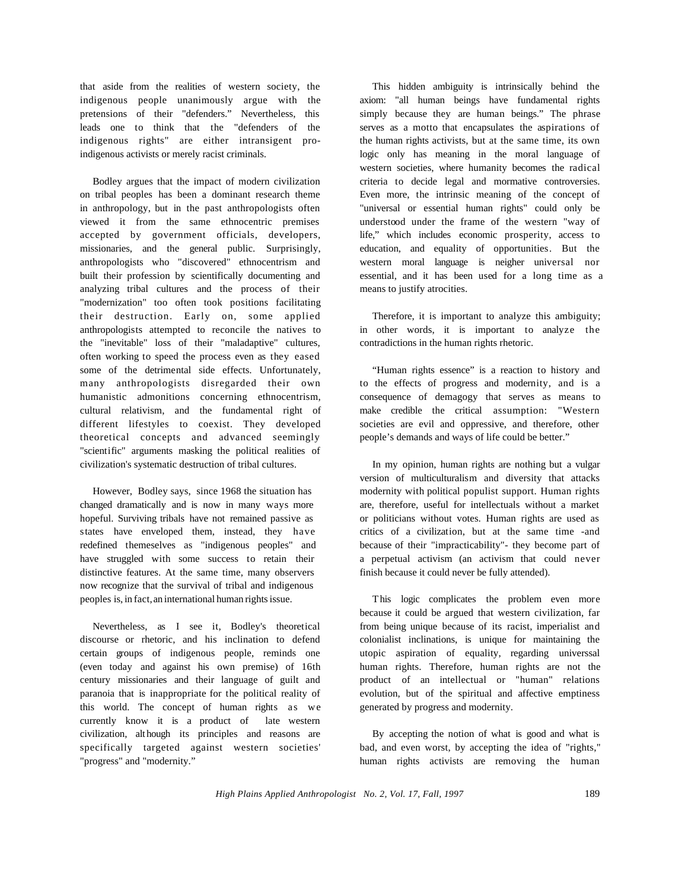that aside from the realities of western society, the indigenous people unanimously argue with the pretensions of their "defenders." Nevertheless, this leads one to think that the "defenders of the indigenous rights" are either intransigent proindigenous activists or merely racist criminals.

Bodley argues that the impact of modern civilization on tribal peoples has been a dominant research theme in anthropology, but in the past anthropologists often viewed it from the same ethnocentric premises accepted by government officials, developers, missionaries, and the general public. Surprisingly, anthropologists who "discovered" ethnocentrism and built their profession by scientifically documenting and analyzing tribal cultures and the process of their "modernization" too often took positions facilitating their destruction. Early on, some applied anthropologists attempted to reconcile the natives to the "inevitable" loss of their "maladaptive" cultures, often working to speed the process even as they eased some of the detrimental side effects. Unfortunately, many anthropologists disregarded their own humanistic admonitions concerning ethnocentrism, cultural relativism, and the fundamental right of different lifestyles to coexist. They developed theoretical concepts and advanced seemingly "scientific" arguments masking the political realities of civilization's systematic destruction of tribal cultures.

However, Bodley says, since 1968 the situation has changed dramatically and is now in many ways more hopeful. Surviving tribals have not remained passive as states have enveloped them, instead, they have redefined themeselves as "indigenous peoples" and have struggled with some success to retain their distinctive features. At the same time, many observers now recognize that the survival of tribal and indigenous peoples is, in fact, an international human rights issue.

Nevertheless, as I see it, Bodley's theoretical discourse or rhetoric, and his inclination to defend certain groups of indigenous people, reminds one (even today and against his own premise) of 16th century missionaries and their language of guilt and paranoia that is inappropriate for the political reality of this world. The concept of human rights as we currently know it is a product of late western civilization, alt hough its principles and reasons are specifically targeted against western societies' "progress" and "modernity."

This hidden ambiguity is intrinsically behind the axiom: "all human beings have fundamental rights simply because they are human beings." The phrase serves as a motto that encapsulates the aspirations of the human rights activists, but at the same time, its own logic only has meaning in the moral language of western societies, where humanity becomes the radical criteria to decide legal and mormative controversies. Even more, the intrinsic meaning of the concept of "universal or essential human rights" could only be understood under the frame of the western "way of life," which includes economic prosperity, access to education, and equality of opportunities. But the western moral language is neigher universal nor essential, and it has been used for a long time as a means to justify atrocities.

Therefore, it is important to analyze this ambiguity; in other words, it is important to analyze the contradictions in the human rights rhetoric.

"Human rights essence" is a reaction to history and to the effects of progress and modernity, and is a consequence of demagogy that serves as means to make credible the critical assumption: "Western societies are evil and oppressive, and therefore, other people's demands and ways of life could be better."

In my opinion, human rights are nothing but a vulgar version of multiculturalism and diversity that attacks modernity with political populist support. Human rights are, therefore, useful for intellectuals without a market or politicians without votes. Human rights are used as critics of a civilization, but at the same time -and because of their "impracticability"- they become part of a perpetual activism (an activism that could never finish because it could never be fully attended).

This logic complicates the problem even more because it could be argued that western civilization, far from being unique because of its racist, imperialist and colonialist inclinations, is unique for maintaining the utopic aspiration of equality, regarding universsal human rights. Therefore, human rights are not the product of an intellectual or "human" relations evolution, but of the spiritual and affective emptiness generated by progress and modernity.

By accepting the notion of what is good and what is bad, and even worst, by accepting the idea of "rights," human rights activists are removing the human